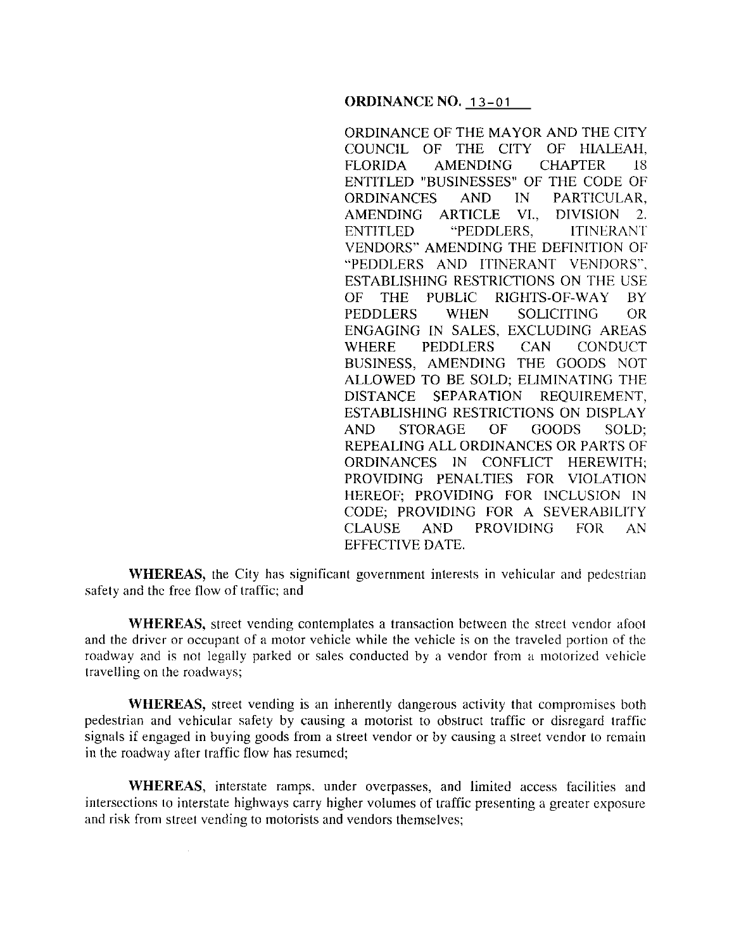**ORDINANCE NO.** 13-01

ORDINANCE OF THE MAYOR AND THE CITY COUNCIL OF THE CITY OF HIALEAH, FLORIDA AMENDING CHAPTER 18 ENTITLED "BUSINESSES" OF THE CODE OF ORDINANCES AND IN PARTICULAR, AMENDING ARTICLE VI., DIVISION 2. ENTITLED "PEDDLERS, ITINERANT VENDORS" AMENDING THE DEFINITION OF "PEDDLERS AND ITINERANT VENDORS''. ESTABLISHING RESTRICTIONS ON THE USE OF THE PUBLIC RIGHTS-OF-WAY BY PEDDLERS WHEN SOLICITING OR ENGAGING IN SALES, EXCLUDING AREAS WHERE PEDDLERS CAN CONDUCT BUSINESS, AMENDING THE GOODS NOT ALLOWED TO BE SOLD; ELIMINATING THE DISTANCE SEPARATION REQUIREMENT, ESTABLISHING RESTRICTIONS ON DISPLAY AND STORAGE OF GOODS SOLD; REPEALING ALL ORDINANCES OR PARTS OF ORDINANCES IN CONFLICT HEREWITH; PROVIDING PENALTIES FOR VIOLATION HEREOF; PROVIDING FOR INCLUSION IN CODE; PROVIDING FOR A SEVERABILITY CLAUSE AND PROVIDING FOR AN EFFECTIVE DATE.

**WHEREAS,** the City has significant government interests in vehicular and pedestrian safety and the free flow of traffic; and

**WHEREAS,** street vending contemplates a transaction between the street vendor afoot and the driver or occupant of a motor vehicle while the vehicle is on the traveled portion of the roadway and is not legally parked or sales conducted by a vendor from a motorized vehicle travelling on the roadways;

**WHEREAS,** street vending is an inherently dangerous activity that compromises both pedestrian and vehicular safety by causing a motorist to obstruct traffic or disregard traffic signals if engaged in buying goods from a street vendor or by causing a street vendor to remain in the roadway after traffic flow has resumed;

**WHEREAS,** interstate ramps. under overpasses, and limited access facilities and intersections to interstate highways carry higher volumes of traffic presenting a greater exposure and risk from street vending to motorists and vendors themselves;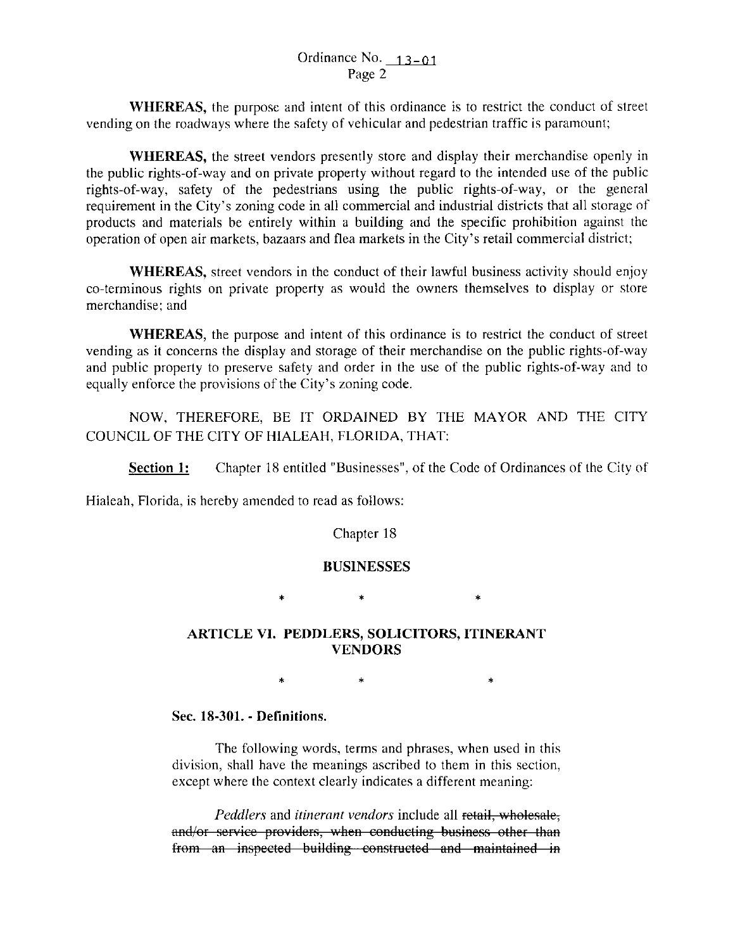**WHEREAS,** the purpose and intent of this ordinance is to restrict the conduct of street vending on the roadways where the safety of vehicular and pedestrian traffic is paramount;

**WHEREAS,** the street vendors presently store and display their merchandise openly in the public rights-of-way and on private property without regard to the intended use of the public rights-of-way, safety of the pedestrians using the public rights-of-way, or the general requirement in the City's zoning code in all commercial and industrial districts that all storage of products and materials be entirely within a building and the specific prohibition against the operation of open air markets, bazaars and flea markets in the City's retail commercial district;

**WHEREAS,** street vendors in the conduct of their lawful business activity should enjoy co-terminous rights on private property as would the owners themselves to display or store merchandise; and

**WHEREAS,** the purpose and intent of this ordinance is to restrict the conduct of street vending as it concerns the display and storage of their merchandise on the public rights-of-way and public property to preserve safety and order in the use of the public rights-of-way and to equally enforce the provisions of the City's zoning code.

NOW, THEREFORE, BE IT ORDAINED BY THE MAYOR AND THE CITY COUNCIL OF THE CITY OF HIALEAH, FLORIDA, THAT:

**Section 1:** Chapter 18 entitled "Businesses", of the Code of Ordinances of the City of

Hialeah, Florida, is hereby amended to read as follows:

Chapter 18

# **BUSINESSES**

• • •

# **ARTICLE VI. PEDDLERS, SOLICITORS, ITINERANT VENDORS**

 $\star$   $\star$   $\star$ 

# Sec. **18-301.- Definitions.**

The following words, terms and phrases, when used in this division, shall have the meanings ascribed to them in this section, except where the context clearly indicates a different meaning:

*Peddlers* and *itinerant vendors* include all retail, wholesale, and/or service providers, when conducting business other than from an inspected building constructed and maintained in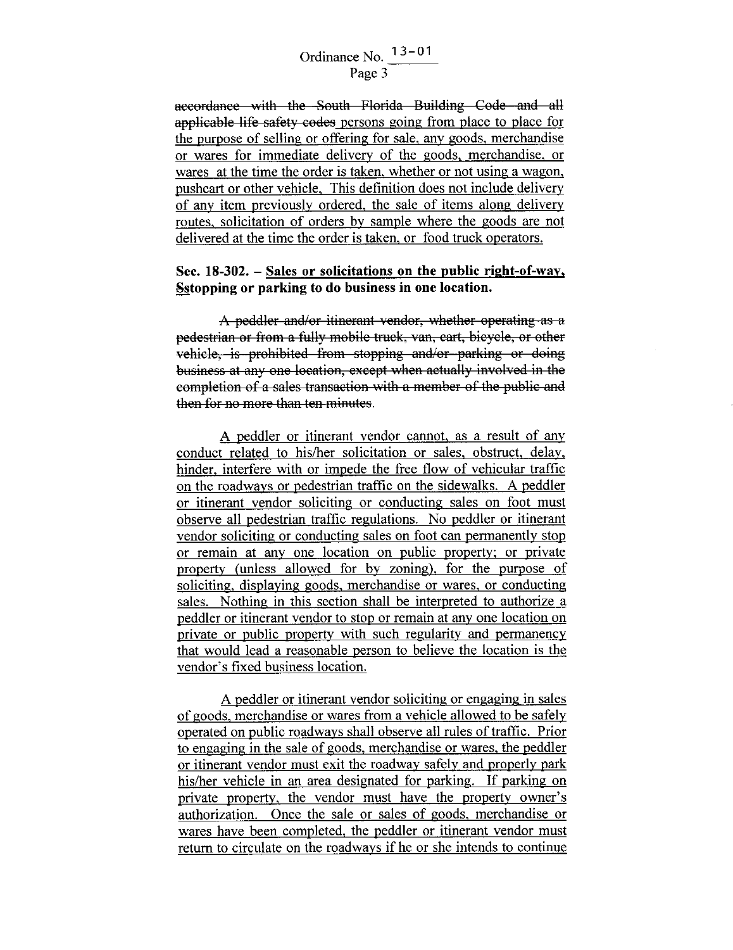# Ordinance No.  $13-01$ Page 3

accordance with the South Florida Building Code and all applicable life safety codes persons going from place to place for the purpose of selling or offering for sale, any goods, merchandise or wares for immediate delivery of the goods, merchandise, or wares at the time the order is taken, whether or not using a wagon, pushcart or other vehicle, This definition does not include delivery of any item previously ordered, the sale of items along delivery routes, solicitation of orders by sample where the goods are not delivered at the time the order is taken, or food truck operators.

# **Sec. 18-302. - Sales or solicitations on the public right-of-way, Sstopping or parking to do business in one location.**

A peddler and/or itinerant vendor, whether operating as a pedestrian or from a fully mobile truck, van, cart, bicycle, or other vehicle, is prohibited from stopping and/or parking or doing business at any one location, except when actually involved in the eompletion of a sales transaction with a member of the public and then for no more than ten minutes.

A peddler or itinerant vendor cannot, as a result of any conduct related to his/her solicitation or sales, obstruct, delay, hinder, interfere with or impede the free flow of vehicular traffic on the roadways or pedestrian traffic on the sidewalks. A peddler or itinerant vendor soliciting or conducting sales on foot must observe all pedestrian traffic regulations. No peddler or itinerant vendor soliciting or conducting sales on foot can permanently stop or remain at any one location on public property; or private property (unless allowed for by zoning), for the purpose of soliciting, displaying goods, merchandise or wares, or conducting sales. Nothing in this section shall be interpreted to authorize a peddler or itinerant vendor to stop or remain at any one location on private or public property with such regularity and permanency that would lead a reasonable person to believe the location is the vendor's fixed business location.

A peddler or itinerant vendor soliciting or engaging in sales of goods, merchandise or wares from a vehicle allowed to be safely operated on public roadways shall observe all rules of traffic. Prior to engaging in the sale of goods, merchandise or wares, the peddler or itinerant vendor must exit the roadway safely and properly park his/her vehicle in an area designated for parking. If parking on private property, the vendor must have the property owner's authorization. Once the sale or sales of goods, merchandise or wares have been completed, the peddler or itinerant vendor must return to circulate on the roadways if he or she intends to continue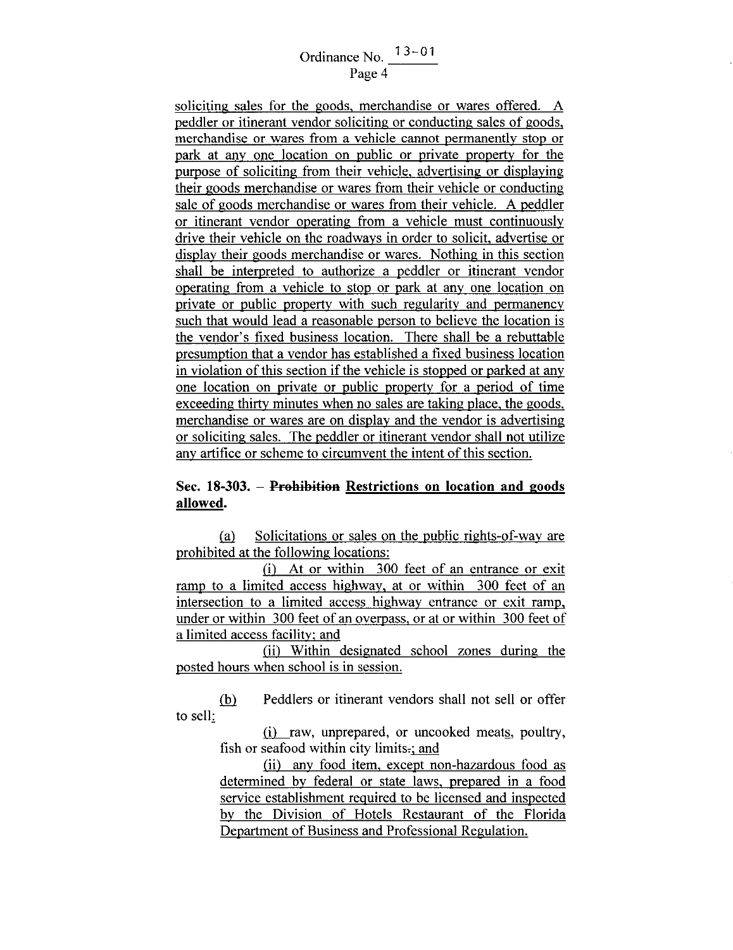# Ordinance No.  $\frac{13-01}{\text{Page } 4}$

soliciting sales for the goods, merchandise or wares offered. A peddler or itinerant vendor soliciting or conducting sales of goods, merchandise or wares from a vehicle cannot permanently stop or park at any one location on public or private property for the purpose of soliciting from their vehicle, advertising or displaying their goods merchandise or wares from their vehicle or conducting sale of goods merchandise or wares from their vehicle. A peddler or itinerant vendor operating from a vehicle must continuously drive their vehicle on the roadways in order to solicit, advertise or display their goods merchandise or wares. Nothing in this section shall be interpreted to authorize a peddler or itinerant vendor operating from a vehicle to stop or park at any one location on private or public property with such regularity and permanency such that would lead a reasonable person to believe the location is the vendor's fixed business location. There shall be a rebuttable presumption that a vendor has established a fixed business location in violation of this section if the vehicle is stopped or parked at any one location on private or public property for a period of time exceeding thirty minutes when no sales are taking place, the goods, merchandise or wares are on display and the vendor is advertising or soliciting sales. The peddler or itinerant vendor shall not utilize any artifice or scheme to circumvent the intent of this section.

# **Sec. 18-303. - Prohibition Restrictions on location and goods allowed.**

(a) Solicitations or sales on the public rights-of-way are prohibited at the following locations:

(i) At or within 300 feet of an entrance or exit ramp to a limited access highway, at or within 300 feet of an intersection to a limited access highway entrance or exit ramp, under or within 300 feet of an overpass, or at or within 300 feet of a limited access facility; and

(iil Within designated school zones during the posted hours when school is in session.

to sell: (b) Peddlers or itinerant vendors shall not sell or offer

> (i) raw, unprepared, or uncooked meats, poultry, fish or seafood within city limits $\cdot$ ; and

> (ii) any food item, except non-hazardous food as determined by federal or state laws, prepared in a food service establishment required to be licensed and inspected by the Division of Hotels Restaurant of the Florida Department of Business and Professional Regulation.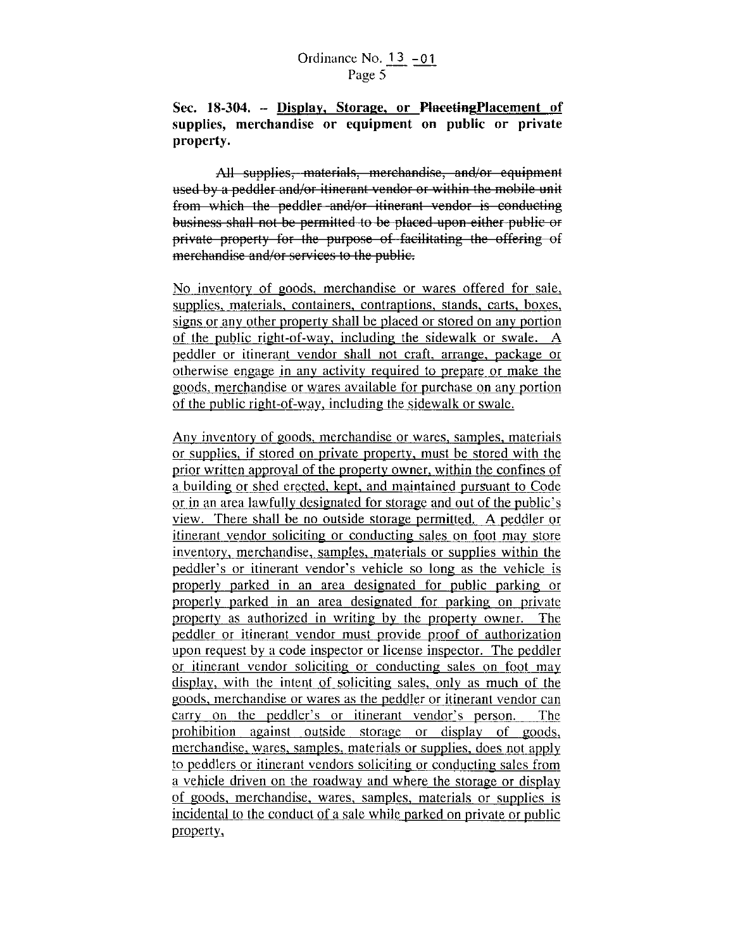**Sec. 18-304. - Display, Storage, or PloeetingPlacement of supplies, merchandise or equipment on public or private property.** 

All supplies, materials, merchandise, and/or equipment used by a peddler and/or itinerant vendor or within the mobile unit from which the peddler and/or itinerant vendor is conducting business shall not be permitted to be placed upon either public or private property for the purpose of facilitating the offering of merchandise and/or services to the public.

No inventory of goods, merchandise or wares offered for sale, supplies, materials. containers, contraptions, stands, carts, boxes, signs or any other property shall be placed or stored on any portion of the public right-of-way, including the sidewalk or swale. A peddler or itinerant vendor shall not craft. arrange. package or otherwise engage in any activity required to prepare or make the goods, merchandise or wares available for purchase on any portion of the public right-of-way, including the sidewalk or swale.

Any inventory of goods, merchandise or wares, samples, materials or supplies, if stored on private property. must be stored with the prior written approval of the property owner, within the confines of a building or shed erected. kept, and maintained pursuant to Code or in an area lawfully designated for storage and out of the public's view. There shall be no outside storage permitted. A peddler or itinerant vendor soliciting or conducting sales on foot may store inventory, merchandise, samples, materials or supplies within the peddler's or itinerant vendor's vehicle so long as the vehicle is properly parked in an area designated for public parking or properly parked in an area designated for parking on private property as authorized in writing by the property owner. The peddler or itinerant vendor must provide proof of authorization upon request by a code inspector or license inspector. The peddler or itinerant vendor soliciting or conducting sales on foot may display, with the intent of soliciting sales, only as much of the goods, merchandise or wares as the peddler or itinerant vendor can carry on the peddler's or itinerant vendor's person. The prohibition against outside storage or display of goods, merchandise, wares, samples, materials or supplies. does not apply to peddlers or itinerant vendors soliciting or conducting sales from a vehicle driven on the roadway and where the storage or display of goods, merchandise, wares, samples, materials or supplies is incidental to the conduct of a sale while parked on private or public property,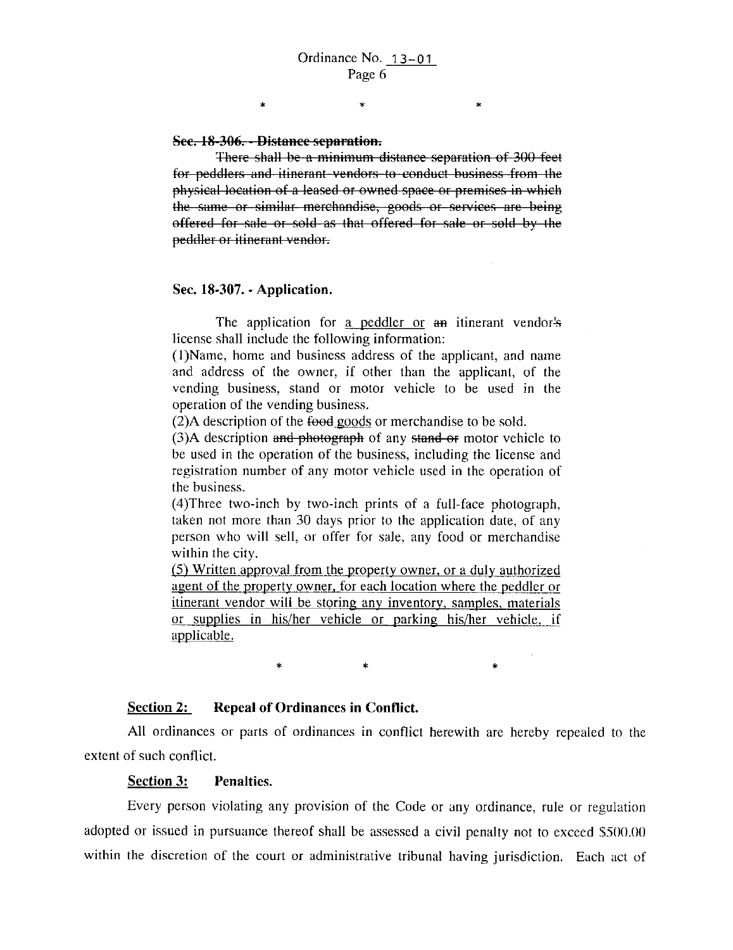\*

\*

#### **Sec. 18-306. - Distance separation.**

\*

There shall be a minimum distance separation of 300 feet for peddlers and itinerant vendors to conduct business from the physical location of a leased or owned space or premises in which the same or similar merchandise, goods or services are being offered for sale or sold as that offered for sale or sold by the peddler or itinerant vendor.

#### **Sec. 18-307. ·Application.**

The application for a peddler or an itinerant vendor's license shall include the following information:

(I )Name, home and business address of the applicant, and name and address of the owner, if other than the applicant, of the vending business, stand or motor vehicle to be used in the operation of the vending business.

 $(2)A$  description of the food goods or merchandise to be sold.

 $(3)$ A description and photograph of any stand or motor vehicle to be used in the operation of the business, including the license and registration number of any motor vehicle used in the operation of the business.

(4)Three two-inch by two-inch prints of a full-face photograph, taken not more than 30 days prior to the application date, of any person who will sell, or offer for sale, any food or merchandise within the city.

(5) Written approval from the property owner, or a duly authorized agent of the property owner, for each location where the peddler or itinerant vendor will be storing any inventory, samples, materials or supplies in his/her vehicle or parking his/her vehicle, if applicable.

 $\ast$   $\ast$   $\ast$ 

#### Section 2: Repeal of Ordinances in Conflict.

All ordinances or parts of ordinances in conflict herewith are hereby repealed to the extent of such conflict.

#### **Section 3: Penalties.**

Every person violating any provision of the Code or any ordinance, rule or regulation adopted or issued in pursuance thereof shall be assessed a civil penalty not to exceed \$500.00 within the discretion of the court or administrative tribunal having jurisdiction. Each act of